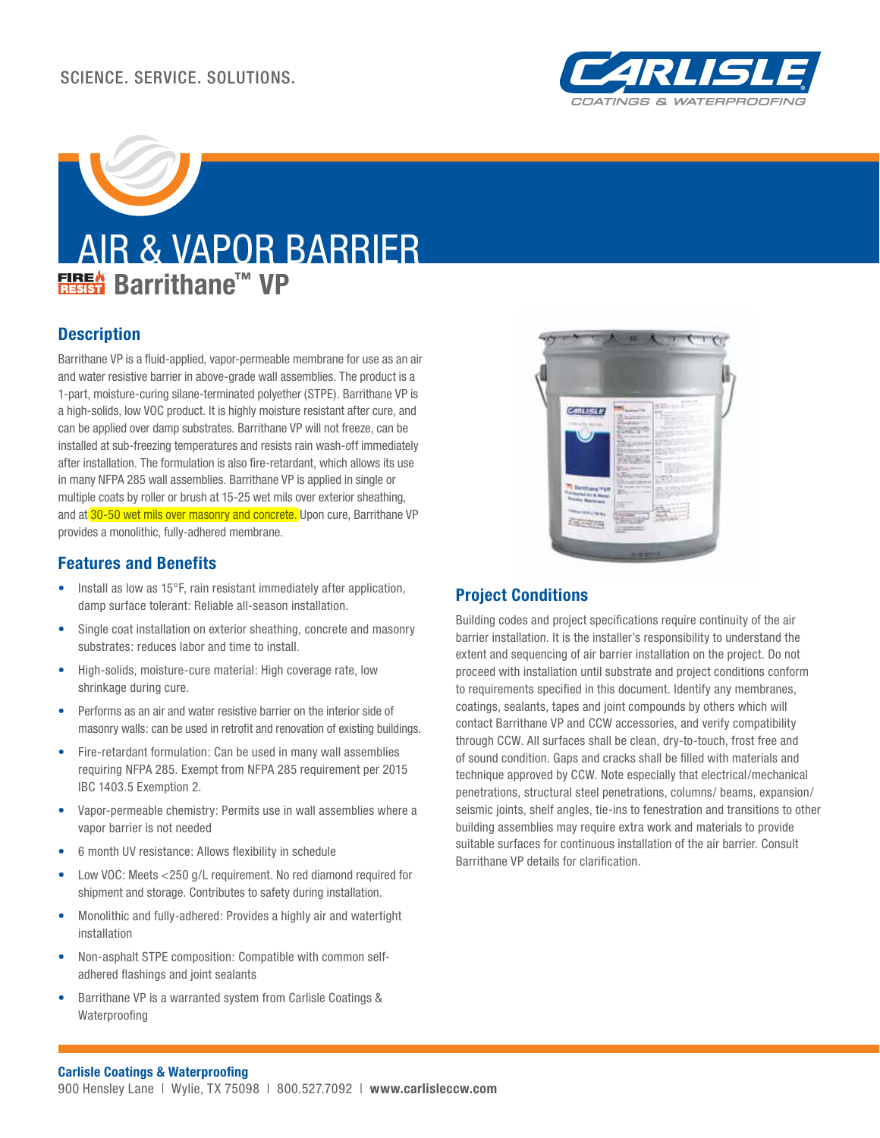

# AIR & VAPOR BARRIER **Barrithane™ VP**

# **Description**

Barrithane VP is a fluid-applied, vapor-permeable membrane for use as an air and water resistive barrier in above-grade wall assemblies. The product is a 1-part, moisture-curing silane-terminated polyether (STPE). Barrithane VP is a high-solids, low VOC product. It is highly moisture resistant after cure, and can be applied over damp substrates. Barrithane VP will not freeze, can be installed at sub-freezing temperatures and resists rain wash-off immediately after installation. The formulation is also fire-retardant, which allows its use in many NFPA 285 wall assemblies. Barrithane VP is applied in single or multiple coats by roller or brush at 15-25 wet mils over exterior sheathing, and at 30-50 wet mils over masonry and concrete. Upon cure, Barrithane VP provides a monolithic, fully-adhered membrane.

## **Features and Benefits**

- Install as low as 15°F, rain resistant immediately after application, damp surface tolerant: Reliable all-season installation.
- Single coat installation on exterior sheathing, concrete and masonry substrates: reduces labor and time to install.
- High-solids, moisture-cure material: High coverage rate, low shrinkage during cure.
- Performs as an air and water resistive barrier on the interior side of masonry walls: can be used in retrofit and renovation of existing buildings.
- Fire-retardant formulation: Can be used in many wall assemblies requiring NFPA 285. Exempt from NFPA 285 requirement per 2015 IBC 1403.5 Exemption 2.
- Vapor-permeable chemistry: Permits use in wall assemblies where a vapor barrier is not needed
- 6 month UV resistance: Allows flexibility in schedule
- Low VOC: Meets <250 g/L requirement. No red diamond required for shipment and storage. Contributes to safety during installation.
- Monolithic and fully-adhered: Provides a highly air and watertight installation
- Non-asphalt STPE composition: Compatible with common selfadhered flashings and joint sealants
- Barrithane VP is a warranted system from Carlisle Coatings & Waterproofing



# **Project Conditions**

Building codes and project specifications require continuity of the air barrier installation. It is the installer's responsibility to understand the extent and sequencing of air barrier installation on the project. Do not proceed with installation until substrate and project conditions conform to requirements specified in this document. Identify any membranes, coatings, sealants, tapes and joint compounds by others which will contact Barrithane VP and CCW accessories, and verify compatibility through CCW. All surfaces shall be clean, dry-to-touch, frost free and of sound condition. Gaps and cracks shall be filled with materials and technique approved by CCW. Note especially that electrical/mechanical penetrations, structural steel penetrations, columns/ beams, expansion/ seismic joints, shelf angles, tie-ins to fenestration and transitions to other building assemblies may require extra work and materials to provide suitable surfaces for continuous installation of the air barrier. Consult Barrithane VP details for clarification.

#### **Carlisle Coatings & Waterproofing**

900 Hensley Lane | Wylie, TX 75098 | 800.527.7092 | **www.carlisleccw.com**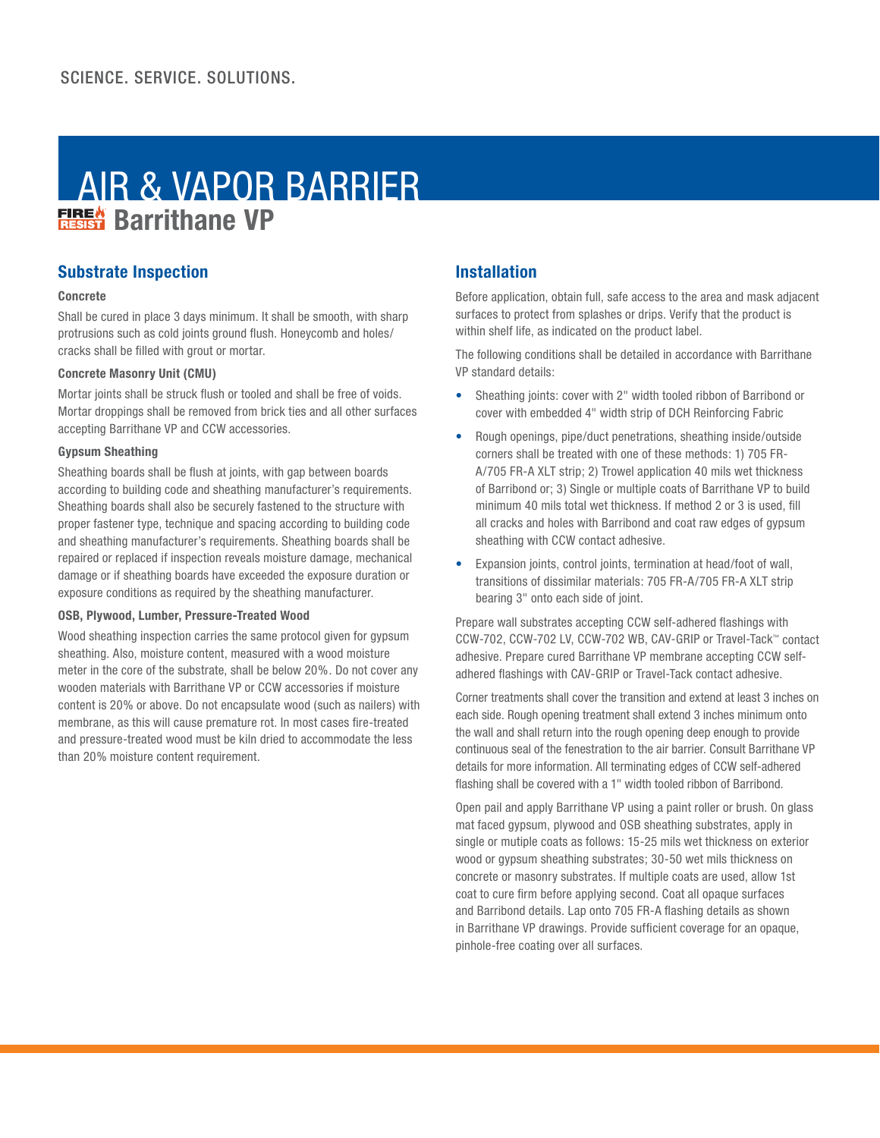# AIR & VAPOR BARRIER **Based** Barrithane VP

# **Substrate Inspection**

#### **Concrete**

Shall be cured in place 3 days minimum. It shall be smooth, with sharp protrusions such as cold joints ground flush. Honeycomb and holes/ cracks shall be filled with grout or mortar.

#### **Concrete Masonry Unit (CMU)**

Mortar joints shall be struck flush or tooled and shall be free of voids. Mortar droppings shall be removed from brick ties and all other surfaces accepting Barrithane VP and CCW accessories.

#### **Gypsum Sheathing**

Sheathing boards shall be flush at joints, with gap between boards according to building code and sheathing manufacturer's requirements. Sheathing boards shall also be securely fastened to the structure with proper fastener type, technique and spacing according to building code and sheathing manufacturer's requirements. Sheathing boards shall be repaired or replaced if inspection reveals moisture damage, mechanical damage or if sheathing boards have exceeded the exposure duration or exposure conditions as required by the sheathing manufacturer.

#### **OSB, Plywood, Lumber, Pressure-Treated Wood**

Wood sheathing inspection carries the same protocol given for gypsum sheathing. Also, moisture content, measured with a wood moisture meter in the core of the substrate, shall be below 20%. Do not cover any wooden materials with Barrithane VP or CCW accessories if moisture content is 20% or above. Do not encapsulate wood (such as nailers) with membrane, as this will cause premature rot. In most cases fire-treated and pressure-treated wood must be kiln dried to accommodate the less than 20% moisture content requirement.

# **Installation**

Before application, obtain full, safe access to the area and mask adjacent surfaces to protect from splashes or drips. Verify that the product is within shelf life, as indicated on the product label.

The following conditions shall be detailed in accordance with Barrithane VP standard details:

- Sheathing joints: cover with 2" width tooled ribbon of Barribond or cover with embedded 4" width strip of DCH Reinforcing Fabric
- Rough openings, pipe/duct penetrations, sheathing inside/outside corners shall be treated with one of these methods: 1) 705 FR-A/705 FR-A XLT strip; 2) Trowel application 40 mils wet thickness of Barribond or; 3) Single or multiple coats of Barrithane VP to build minimum 40 mils total wet thickness. If method 2 or 3 is used, fill all cracks and holes with Barribond and coat raw edges of gypsum sheathing with CCW contact adhesive.
- Expansion joints, control joints, termination at head/foot of wall, transitions of dissimilar materials: 705 FR-A/705 FR-A XLT strip bearing 3" onto each side of joint.

Prepare wall substrates accepting CCW self-adhered flashings with CCW-702, CCW-702 LV, CCW-702 WB, CAV-GRIP or Travel-Tack™ contact adhesive. Prepare cured Barrithane VP membrane accepting CCW selfadhered flashings with CAV-GRIP or Travel-Tack contact adhesive.

Corner treatments shall cover the transition and extend at least 3 inches on each side. Rough opening treatment shall extend 3 inches minimum onto the wall and shall return into the rough opening deep enough to provide continuous seal of the fenestration to the air barrier. Consult Barrithane VP details for more information. All terminating edges of CCW self-adhered flashing shall be covered with a 1" width tooled ribbon of Barribond.

Open pail and apply Barrithane VP using a paint roller or brush. On glass mat faced gypsum, plywood and OSB sheathing substrates, apply in single or mutiple coats as follows: 15-25 mils wet thickness on exterior wood or gypsum sheathing substrates; 30-50 wet mils thickness on concrete or masonry substrates. If multiple coats are used, allow 1st coat to cure firm before applying second. Coat all opaque surfaces and Barribond details. Lap onto 705 FR-A flashing details as shown in Barrithane VP drawings. Provide sufficient coverage for an opaque, pinhole-free coating over all surfaces.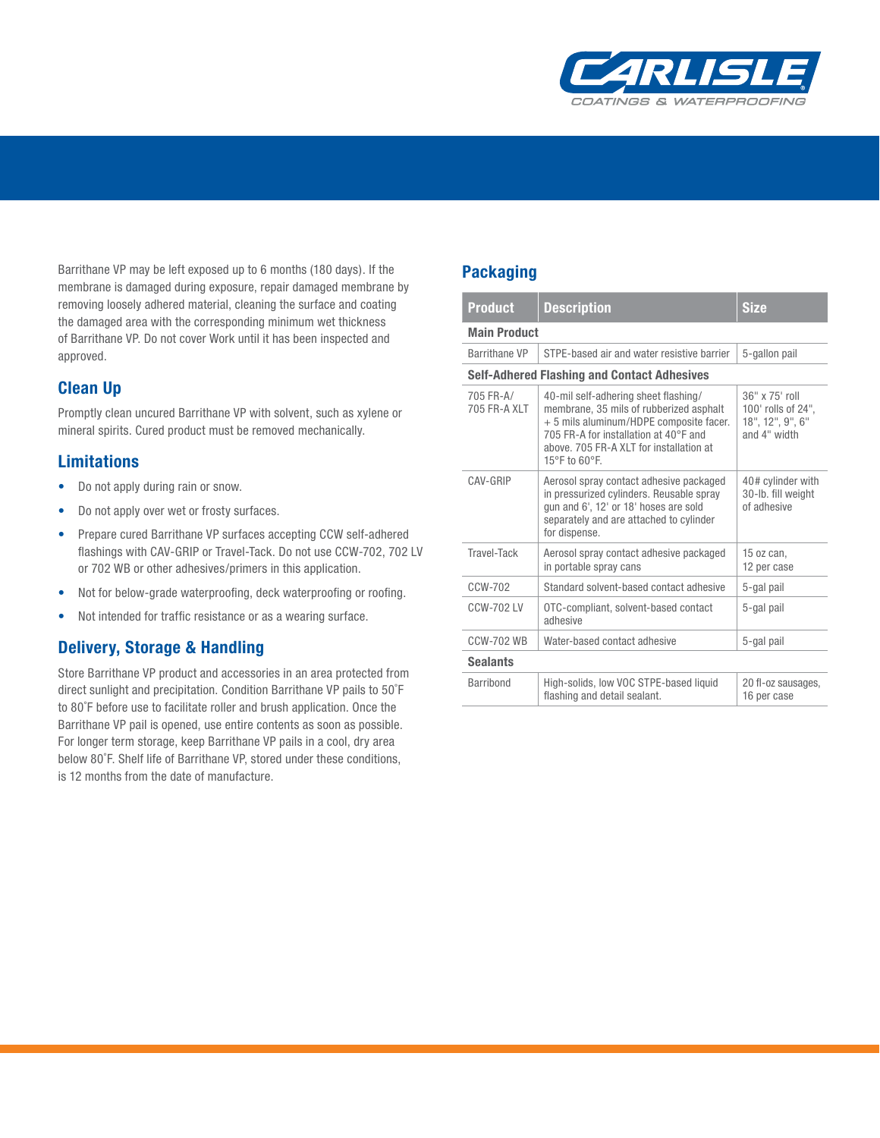

Barrithane VP may be left exposed up to 6 months (180 days). If the membrane is damaged during exposure, repair damaged membrane by removing loosely adhered material, cleaning the surface and coating the damaged area with the corresponding minimum wet thickness of Barrithane VP. Do not cover Work until it has been inspected and approved.

# **Clean Up**

Promptly clean uncured Barrithane VP with solvent, such as xylene or mineral spirits. Cured product must be removed mechanically.

# **Limitations**

- Do not apply during rain or snow.
- Do not apply over wet or frosty surfaces.
- Prepare cured Barrithane VP surfaces accepting CCW self-adhered flashings with CAV-GRIP or Travel-Tack. Do not use CCW-702, 702 LV or 702 WB or other adhesives/primers in this application.
- Not for below-grade waterproofing, deck waterproofing or roofing.
- Not intended for traffic resistance or as a wearing surface.

# **Delivery, Storage & Handling**

Store Barrithane VP product and accessories in an area protected from direct sunlight and precipitation. Condition Barrithane VP pails to 50˚F to 80˚F before use to facilitate roller and brush application. Once the Barrithane VP pail is opened, use entire contents as soon as possible. For longer term storage, keep Barrithane VP pails in a cool, dry area below 80˚F. Shelf life of Barrithane VP, stored under these conditions, is 12 months from the date of manufacture.

## **Packaging**

| <b>Product</b>                                     | <b>Description</b>                                                                                                                                                                                                              | <b>Size</b>                                                              |  |  |
|----------------------------------------------------|---------------------------------------------------------------------------------------------------------------------------------------------------------------------------------------------------------------------------------|--------------------------------------------------------------------------|--|--|
| <b>Main Product</b>                                |                                                                                                                                                                                                                                 |                                                                          |  |  |
| <b>Barrithane VP</b>                               | STPE-based air and water resistive barrier                                                                                                                                                                                      | 5-gallon pail                                                            |  |  |
| <b>Self-Adhered Flashing and Contact Adhesives</b> |                                                                                                                                                                                                                                 |                                                                          |  |  |
| 705 FR-A/<br>705 FR-A XLT                          | 40-mil self-adhering sheet flashing/<br>membrane, 35 mils of rubberized asphalt<br>+ 5 mils aluminum/HDPE composite facer.<br>705 FR-A for installation at 40°F and<br>above. 705 FR-A XLT for installation at<br>15°F to 60°F. | 36" x 75' roll<br>100' rolls of 24",<br>18", 12", 9", 6"<br>and 4" width |  |  |
| CAV-GRIP                                           | Aerosol spray contact adhesive packaged<br>in pressurized cylinders. Reusable spray<br>gun and 6', 12' or 18' hoses are sold<br>separately and are attached to cylinder<br>for dispense.                                        | 40# cylinder with<br>30-lb. fill weight<br>of adhesive                   |  |  |
| Travel-Tack                                        | Aerosol spray contact adhesive packaged<br>in portable spray cans                                                                                                                                                               | 15 oz can,<br>12 per case                                                |  |  |
| CCW-702                                            | Standard solvent-based contact adhesive                                                                                                                                                                                         | 5-gal pail                                                               |  |  |
| CCW-702 LV                                         | OTC-compliant, solvent-based contact<br>adhesive                                                                                                                                                                                | 5-gal pail                                                               |  |  |
| <b>CCW-702 WB</b>                                  | Water-based contact adhesive                                                                                                                                                                                                    | 5-gal pail                                                               |  |  |
| <b>Sealants</b>                                    |                                                                                                                                                                                                                                 |                                                                          |  |  |
| <b>Barribond</b>                                   | High-solids, low VOC STPE-based liquid<br>flashing and detail sealant.                                                                                                                                                          | 20 fl-oz sausages,<br>16 per case                                        |  |  |